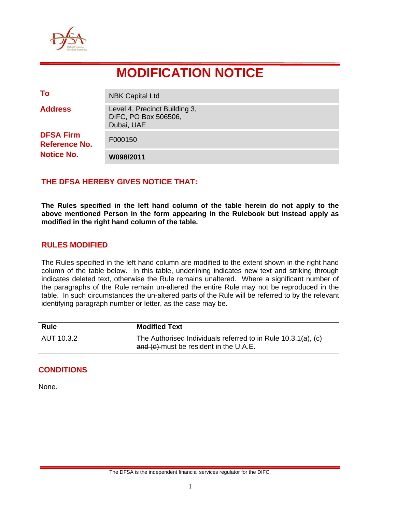

# **MODIFICATION NOTICE**

| To                                                            | <b>NBK Capital Ltd</b>                                              |
|---------------------------------------------------------------|---------------------------------------------------------------------|
| <b>Address</b>                                                | Level 4, Precinct Building 3,<br>DIFC, PO Box 506506,<br>Dubai, UAE |
| <b>DFSA Firm</b><br><b>Reference No.</b><br><b>Notice No.</b> | F000150                                                             |
|                                                               | W098/2011                                                           |

## **THE DFSA HEREBY GIVES NOTICE THAT:**

**The Rules specified in the left hand column of the table herein do not apply to the above mentioned Person in the form appearing in the Rulebook but instead apply as modified in the right hand column of the table.** 

#### **RULES MODIFIED**

The Rules specified in the left hand column are modified to the extent shown in the right hand column of the table below. In this table, underlining indicates new text and striking through indicates deleted text, otherwise the Rule remains unaltered. Where a significant number of the paragraphs of the Rule remain un-altered the entire Rule may not be reproduced in the table. In such circumstances the un-altered parts of the Rule will be referred to by the relevant identifying paragraph number or letter, as the case may be.

| <b>Rule</b> | <b>Modified Text</b>                                                                                    |
|-------------|---------------------------------------------------------------------------------------------------------|
| AUT 10.3.2  | The Authorised Individuals referred to in Rule 10.3.1(a), (c)<br>and (d) must be resident in the U.A.E. |

#### **CONDITIONS**

None.